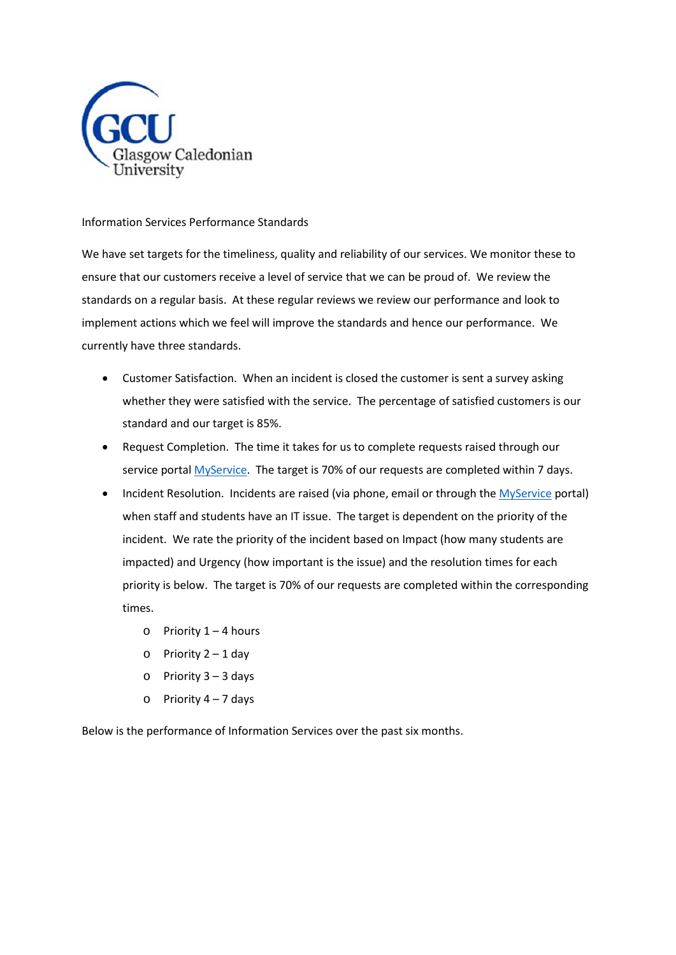

# Information Services Performance Standards

We have set targets for the timeliness, quality and reliability of our services. We monitor these to ensure that our customers receive a level of service that we can be proud of. We review the standards on a regular basis. At these regular reviews we review our performance and look to implement actions which we feel will improve the standards and hence our performance. We currently have three standards.

- Customer Satisfaction. When an incident is closed the customer is sent a survey asking whether they were satisfied with the service. The percentage of satisfied customers is our standard and our target is 85%.
- Request Completion. The time it takes for us to complete requests raised through our service portal [MyService.](https://myservice.gcu.ac.uk/production/portal.aspx) The target is 70% of our requests are completed within 7 days.
- Incident Resolution. Incidents are raised (via phone, email or through th[e MyService](https://myservice.gcu.ac.uk/production/portal.aspx) portal) when staff and students have an IT issue. The target is dependent on the priority of the incident. We rate the priority of the incident based on Impact (how many students are impacted) and Urgency (how important is the issue) and the resolution times for each priority is below. The target is 70% of our requests are completed within the corresponding times.
	- $\circ$  Priority 1 4 hours
	- $\circ$  Priority 2 1 day
	- $\circ$  Priority 3 3 days
	- $\circ$  Priority 4 7 days

Below is the performance of Information Services over the past six months.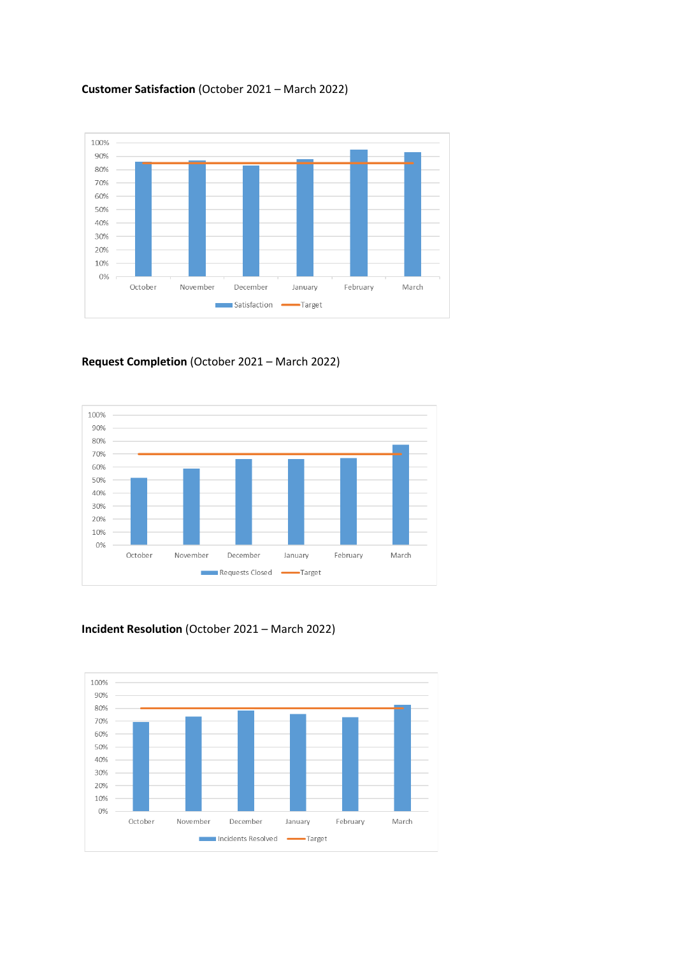# **Customer Satisfaction** (October 2021 – March 2022)



### **Request Completion** (October 2021 – March 2022)



### **Incident Resolution** (October 2021 – March 2022)